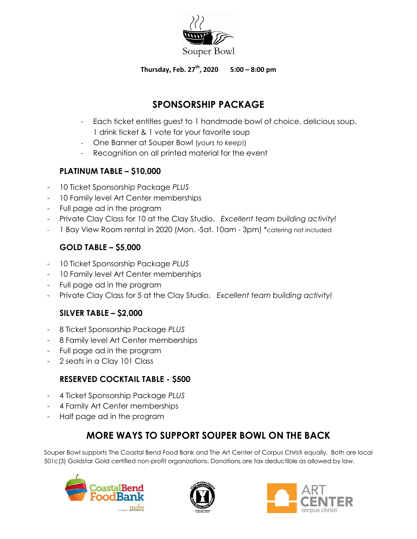

### **Thursday, Feb. 27th, 2020 5:00 – 8:00 pm**

# **SPONSORSHIP PACKAGE**

- Each ticket entitles guest to 1 handmade bowl of choice, delicious soup, 1 drink ticket & 1 vote for your favorite soup
- One Banner at Souper Bowl (*yours to keep*!)
- Recognition on all printed material for the event

## **PLATINUM TABLE – \$10,000**

- 10 Ticket Sponsorship Package *PLUS*
- 10 Family level Art Center memberships
- Full page ad in the program
- Private Clay Class for 10 at the Clay Studio. *Excellent team building activity!*
- 1 Bay View Room rental in 2020 (Mon. -Sat. 10am 3pm) \*catering not included

## **GOLD TABLE – \$5,000**

- 10 Ticket Sponsorship Package *PLUS*
- 10 Family level Art Center memberships
- Full page ad in the program
- Private Clay Class for 5 at the Clay Studio. *Excellent team building activity!*

## **SILVER TABLE – \$2,000**

- 8 Ticket Sponsorship Package *PLUS*
- 8 Family level Art Center memberships
- Full page ad in the program
- 2 seats in a Clay 101 Class

## **RESERVED COCKTAIL TABLE - \$500**

- 4 Ticket Sponsorship Package *PLUS*
- 4 Family Art Center memberships
- Half page ad in the program

# **MORE WAYS TO SUPPORT SOUPER BOWL ON THE BACK**

Souper Bowl supports The Coastal Bend Food Bank and The Art Center of Corpus Christi equally. Both are local 501c(3) Goldstar Gold certified non-profit organizations. Donations are tax deductible as allowed by law.